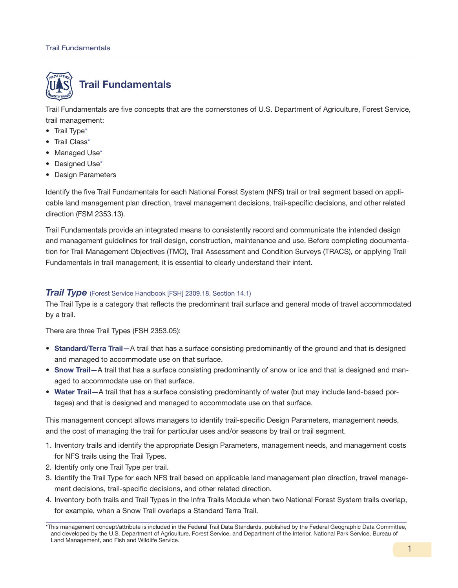

Trail Fundamentals are five concepts that are the cornerstones of U.S. Department of Agriculture, Forest Service, trail management:

- Trail Type\*
- Trail Class\*
- Managed Use\*
- Designed Use\*
- Design Parameters

Identify the five Trail Fundamentals for each National Forest System (NFS) trail or trail segment based on applicable land management plan direction, travel management decisions, trail-specific decisions, and other related direction (FSM 2353.13).

Trail Fundamentals provide an integrated means to consistently record and communicate the intended design and management guidelines for trail design, construction, maintenance and use. Before completing documentation for Trail Management Objectives (TMO), Trail Assessment and Condition Surveys (TRACS), or applying Trail Fundamentals in trail management, it is essential to clearly understand their intent.

## *Trail Type* (Forest Service Handbook [FSH] 2309.18, Section 14.1)

The Trail Type is a category that reflects the predominant trail surface and general mode of travel accommodated by a trail.

There are three Trail Types (FSH 2353.05):

- Standard/Terra Trail—A trail that has a surface consisting predominantly of the ground and that is designed and managed to accommodate use on that surface.
- Snow Trail—A trail that has a surface consisting predominantly of snow or ice and that is designed and managed to accommodate use on that surface.
- Water Trail—A trail that has a surface consisting predominantly of water (but may include land-based portages) and that is designed and managed to accommodate use on that surface.

This management concept allows managers to identify trail-specific Design Parameters, management needs, and the cost of managing the trail for particular uses and/or seasons by trail or trail segment.

- 1. Inventory trails and identify the appropriate Design Parameters, management needs, and management costs for NFS trails using the Trail Types.
- 2. Identify only one Trail Type per trail.
- 3. Identify the Trail Type for each NFS trail based on applicable land management plan direction, travel management decisions, trail-specific decisions, and other related direction.
- 4. Inventory both trails and Trail Types in the Infra Trails Module when two National Forest System trails overlap, for example, when a Snow Trail overlaps a Standard Terra Trail.

<sup>\*</sup>This management concept/attribute is included in the Federal Trail Data Standards, published by the Federal Geographic Data Committee, and developed by the U.S. Department of Agriculture, Forest Service, and Department of the Interior, National Park Service, Bureau of Land Management, and Fish and Wildlife Service.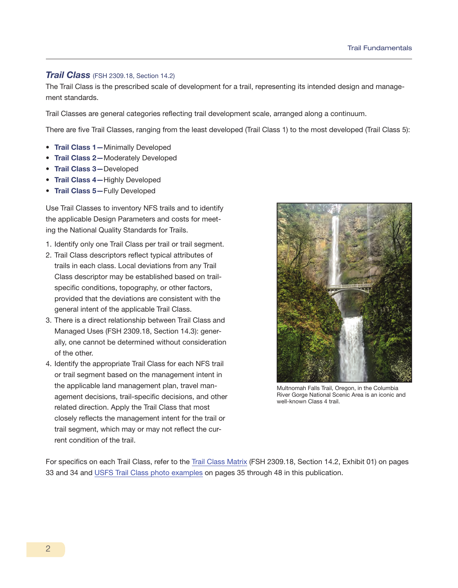## *Trail Class* (FSH 2309.18, Section 14.2)

The Trail Class is the prescribed scale of development for a trail, representing its intended design and management standards.

Trail Classes are general categories reflecting trail development scale, arranged along a continuum.

There are five Trail Classes, ranging from the least developed (Trail Class 1) to the most developed (Trail Class 5):

- Trail Class 1-Minimally Developed
- Trail Class 2—Moderately Developed
- Trail Class 3—Developed
- Trail Class 4-Highly Developed
- Trail Class 5-Fully Developed

Use Trail Classes to inventory NFS trails and to identify the applicable Design Parameters and costs for meeting the National Quality Standards for Trails.

- 1. Identify only one Trail Class per trail or trail segment.
- 2. Trail Class descriptors reflect typical attributes of trails in each class. Local deviations from any Trail Class descriptor may be established based on trailspecific conditions, topography, or other factors, provided that the deviations are consistent with the general intent of the applicable Trail Class.
- 3. There is a direct relationship between Trail Class and Managed Uses (FSH 2309.18, Section 14.3): generally, one cannot be determined without consideration of the other.
- 4. Identify the appropriate Trail Class for each NFS trail or trail segment based on the management intent in the applicable land management plan, travel management decisions, trail-specific decisions, and other related direction. Apply the Trail Class that most closely reflects the management intent for the trail or trail segment, which may or may not reflect the current condition of the trail.



Multnomah Falls Trail, Oregon, in the Columbia River Gorge National Scenic Area is an iconic and well-known Class 4 trail.

For specifics on each Trail Class, refer to the Trail Class Matrix (FSH 2309.18, Section 14.2, Exhibit 01) on pages 33 and 34 and USFS Trail Class photo examples on pages 35 through 48 in this publication.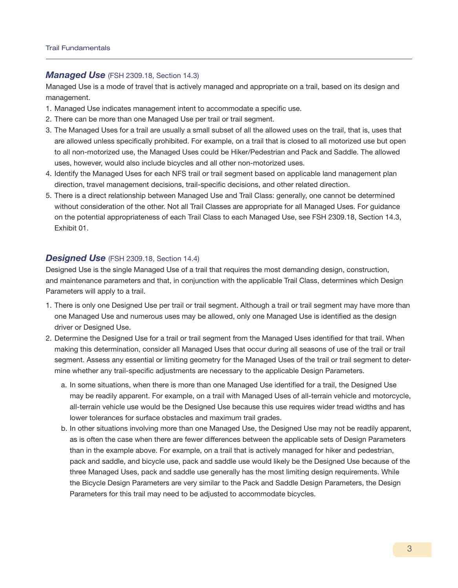#### *Managed Use* (FSH 2309.18, Section 14.3)

Managed Use is a mode of travel that is actively managed and appropriate on a trail, based on its design and management.

- 1. Managed Use indicates management intent to accommodate a specific use.
- 2. There can be more than one Managed Use per trail or trail segment.
- 3. The Managed Uses for a trail are usually a small subset of all the allowed uses on the trail, that is, uses that are allowed unless specifically prohibited. For example, on a trail that is closed to all motorized use but open to all non-motorized use, the Managed Uses could be Hiker/Pedestrian and Pack and Saddle. The allowed uses, however, would also include bicycles and all other non-motorized uses.
- 4. Identify the Managed Uses for each NFS trail or trail segment based on applicable land management plan direction, travel management decisions, trail-specific decisions, and other related direction.
- 5. There is a direct relationship between Managed Use and Trail Class: generally, one cannot be determined without consideration of the other. Not all Trail Classes are appropriate for all Managed Uses. For guidance on the potential appropriateness of each Trail Class to each Managed Use, see FSH 2309.18, Section 14.3, Exhibit 01.

## *Designed Use* (FSH 2309.18, Section 14.4)

Designed Use is the single Managed Use of a trail that requires the most demanding design, construction, and maintenance parameters and that, in conjunction with the applicable Trail Class, determines which Design Parameters will apply to a trail.

- 1. There is only one Designed Use per trail or trail segment. Although a trail or trail segment may have more than one Managed Use and numerous uses may be allowed, only one Managed Use is identified as the design driver or Designed Use.
- 2. Determine the Designed Use for a trail or trail segment from the Managed Uses identified for that trail. When making this determination, consider all Managed Uses that occur during all seasons of use of the trail or trail segment. Assess any essential or limiting geometry for the Managed Uses of the trail or trail segment to determine whether any trail-specific adjustments are necessary to the applicable Design Parameters.
	- a. In some situations, when there is more than one Managed Use identified for a trail, the Designed Use may be readily apparent. For example, on a trail with Managed Uses of all-terrain vehicle and motorcycle, all-terrain vehicle use would be the Designed Use because this use requires wider tread widths and has lower tolerances for surface obstacles and maximum trail grades.
	- b. In other situations involving more than one Managed Use, the Designed Use may not be readily apparent, as is often the case when there are fewer differences between the applicable sets of Design Parameters than in the example above. For example, on a trail that is actively managed for hiker and pedestrian, pack and saddle, and bicycle use, pack and saddle use would likely be the Designed Use because of the three Managed Uses, pack and saddle use generally has the most limiting design requirements. While the Bicycle Design Parameters are very similar to the Pack and Saddle Design Parameters, the Design Parameters for this trail may need to be adjusted to accommodate bicycles.